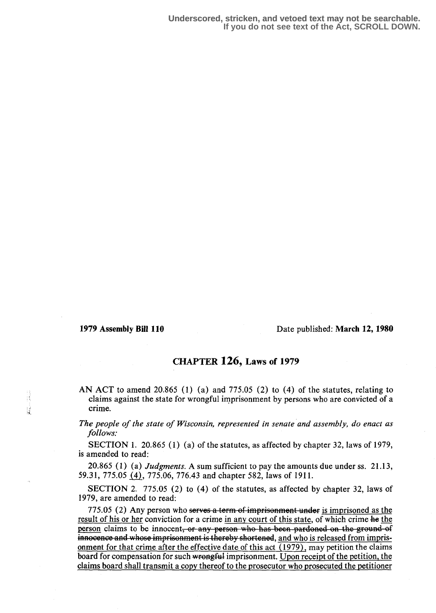言語

## 1979 Assembly Bill 110 Date published: March 12, 1980

## CHAPTER 126, Laws of 1979

AN ACT to amend 20.865 (1) (a) and 775.05 (2) to (4) of the statutes, relating to claims against the state for wrongful imprisonment by persons who are convicted of a crime.

The people of the state of Wisconsin, represented in senate and assembly, do enact as follows:

SECTION 1. 20.865 (1) (a) of the statutes, as affected by chapter 32, laws of 1979, is amended to read:

20.865 (1) (a) *Judgments*. A sum sufficient to pay the amounts due under ss.  $21.13$ , 59.31, 775.05 (4), 775.06, 776.43 and chapter 582, laws of 1911 .

SECTION 2. 775.05 (2) to (4) of the statutes, as affected by chapter 32, laws of 1979, are amended to read:

775.05 (2) Any person who serves a term of imprisonment under is imprisoned as the result of his or her conviction for a crime in any court of this state, of which crime he the person claims to be innocent, or any person who has been pardoned on the ground-of innocence and whose imprisonment is thereby shortened, and who is released from imprisonment for that crime after the effective date of this act  $(1979)$ , may petition the claims board for compensation for such wrongful imprisonment. Upon receipt of the petition, the claims board shall transmit a copy thereof to the prosecutor who prosecuted the petitioner